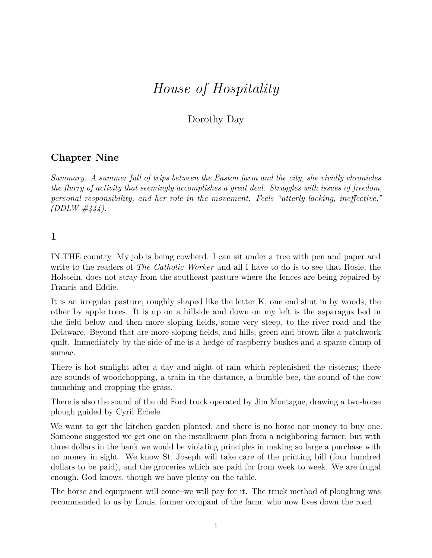# *House of Hospitality*

# Dorothy Day

# **Chapter Nine**

*Summary: A summer full of trips between the Easton farm and the city, she vividly chronicles the flurry of activity that seemingly accomplishes a great deal. Struggles with issues of freedom, personal responsibility, and her role in the movement. Feels "utterly lacking, ineffective." (DDLW #444).*

#### **1**

IN THE country. My job is being cowherd. I can sit under a tree with pen and paper and write to the readers of *The Catholic Worker* and all I have to do is to see that Rosie, the Holstein, does not stray from the southeast pasture where the fences are being repaired by Francis and Eddie.

It is an irregular pasture, roughly shaped like the letter K, one end shut in by woods, the other by apple trees. It is up on a hillside and down on my left is the asparagus bed in the field below and then more sloping fields, some very steep, to the river road and the Delaware. Beyond that are more sloping fields, and hills, green and brown like a patchwork quilt. Immediately by the side of me is a hedge of raspberry bushes and a sparse clump of sumac.

There is hot sunlight after a day and night of rain which replenished the cisterns; there are sounds of woodchopping, a train in the distance, a bumble bee, the sound of the cow munching and cropping the grass.

There is also the sound of the old Ford truck operated by Jim Montague, drawing a two-horse plough guided by Cyril Echele.

We want to get the kitchen garden planted, and there is no horse nor money to buy one. Someone suggested we get one on the installment plan from a neighboring farmer, but with three dollars in the bank we would be violating principles in making so large a purchase with no money in sight. We know St. Joseph will take care of the printing bill (four hundred dollars to be paid), and the groceries which are paid for from week to week. We are frugal enough, God knows, though we have plenty on the table.

The horse and equipment will come–we will pay for it. The truck method of ploughing was recommended to us by Louis, former occupant of the farm, who now lives down the road.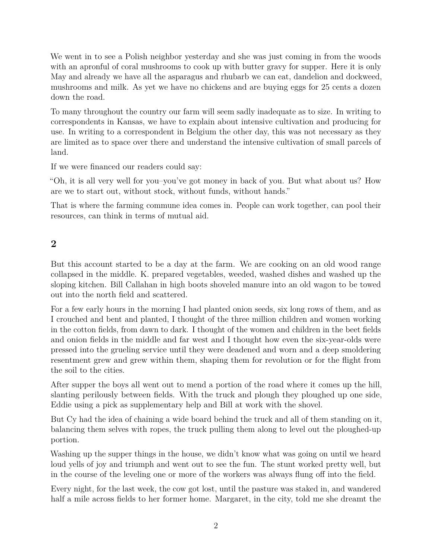We went in to see a Polish neighbor yesterday and she was just coming in from the woods with an apronful of coral mushrooms to cook up with butter gravy for supper. Here it is only May and already we have all the asparagus and rhubarb we can eat, dandelion and dockweed, mushrooms and milk. As yet we have no chickens and are buying eggs for 25 cents a dozen down the road.

To many throughout the country our farm will seem sadly inadequate as to size. In writing to correspondents in Kansas, we have to explain about intensive cultivation and producing for use. In writing to a correspondent in Belgium the other day, this was not necessary as they are limited as to space over there and understand the intensive cultivation of small parcels of land.

If we were financed our readers could say:

"Oh, it is all very well for you–you've got money in back of you. But what about us? How are we to start out, without stock, without funds, without hands."

That is where the farming commune idea comes in. People can work together, can pool their resources, can think in terms of mutual aid.

## **2**

But this account started to be a day at the farm. We are cooking on an old wood range collapsed in the middle. K. prepared vegetables, weeded, washed dishes and washed up the sloping kitchen. Bill Callahan in high boots shoveled manure into an old wagon to be towed out into the north field and scattered.

For a few early hours in the morning I had planted onion seeds, six long rows of them, and as I crouched and bent and planted, I thought of the three million children and women working in the cotton fields, from dawn to dark. I thought of the women and children in the beet fields and onion fields in the middle and far west and I thought how even the six-year-olds were pressed into the grueling service until they were deadened and worn and a deep smoldering resentment grew and grew within them, shaping them for revolution or for the flight from the soil to the cities.

After supper the boys all went out to mend a portion of the road where it comes up the hill, slanting perilously between fields. With the truck and plough they ploughed up one side, Eddie using a pick as supplementary help and Bill at work with the shovel.

But Cy had the idea of chaining a wide board behind the truck and all of them standing on it, balancing them selves with ropes, the truck pulling them along to level out the ploughed-up portion.

Washing up the supper things in the house, we didn't know what was going on until we heard loud yells of joy and triumph and went out to see the fun. The stunt worked pretty well, but in the course of the leveling one or more of the workers was always flung off into the field.

Every night, for the last week, the cow got lost, until the pasture was staked in, and wandered half a mile across fields to her former home. Margaret, in the city, told me she dreamt the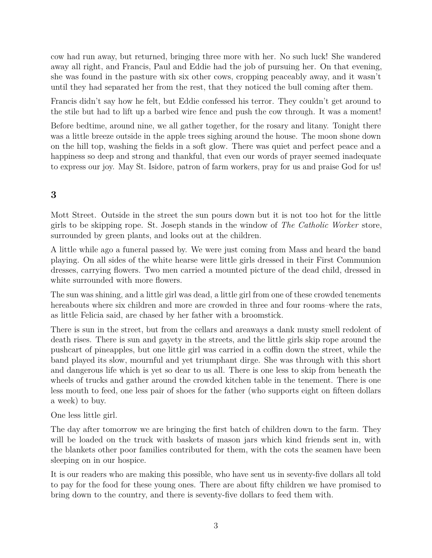cow had run away, but returned, bringing three more with her. No such luck! She wandered away all right, and Francis, Paul and Eddie had the job of pursuing her. On that evening, she was found in the pasture with six other cows, cropping peaceably away, and it wasn't until they had separated her from the rest, that they noticed the bull coming after them.

Francis didn't say how he felt, but Eddie confessed his terror. They couldn't get around to the stile but had to lift up a barbed wire fence and push the cow through. It was a moment!

Before bedtime, around nine, we all gather together, for the rosary and litany. Tonight there was a little breeze outside in the apple trees sighing around the house. The moon shone down on the hill top, washing the fields in a soft glow. There was quiet and perfect peace and a happiness so deep and strong and thankful, that even our words of prayer seemed inadequate to express our joy. May St. Isidore, patron of farm workers, pray for us and praise God for us!

# **3**

Mott Street. Outside in the street the sun pours down but it is not too hot for the little girls to be skipping rope. St. Joseph stands in the window of *The Catholic Worker* store, surrounded by green plants, and looks out at the children.

A little while ago a funeral passed by. We were just coming from Mass and heard the band playing. On all sides of the white hearse were little girls dressed in their First Communion dresses, carrying flowers. Two men carried a mounted picture of the dead child, dressed in white surrounded with more flowers.

The sun was shining, and a little girl was dead, a little girl from one of these crowded tenements hereabouts where six children and more are crowded in three and four rooms–where the rats, as little Felicia said, are chased by her father with a broomstick.

There is sun in the street, but from the cellars and areaways a dank musty smell redolent of death rises. There is sun and gayety in the streets, and the little girls skip rope around the pushcart of pineapples, but one little girl was carried in a coffin down the street, while the band played its slow, mournful and yet triumphant dirge. She was through with this short and dangerous life which is yet so dear to us all. There is one less to skip from beneath the wheels of trucks and gather around the crowded kitchen table in the tenement. There is one less mouth to feed, one less pair of shoes for the father (who supports eight on fifteen dollars a week) to buy.

One less little girl.

The day after tomorrow we are bringing the first batch of children down to the farm. They will be loaded on the truck with baskets of mason jars which kind friends sent in, with the blankets other poor families contributed for them, with the cots the seamen have been sleeping on in our hospice.

It is our readers who are making this possible, who have sent us in seventy-five dollars all told to pay for the food for these young ones. There are about fifty children we have promised to bring down to the country, and there is seventy-five dollars to feed them with.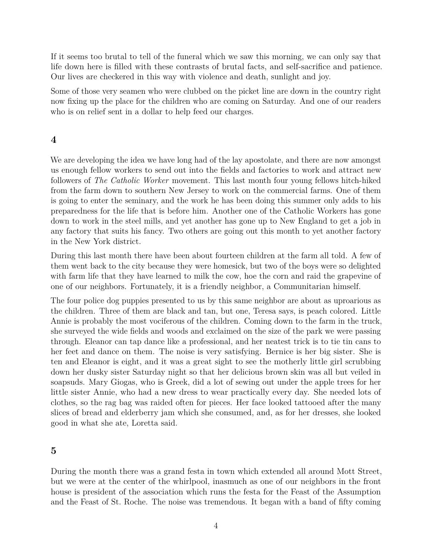If it seems too brutal to tell of the funeral which we saw this morning, we can only say that life down here is filled with these contrasts of brutal facts, and self-sacrifice and patience. Our lives are checkered in this way with violence and death, sunlight and joy.

Some of those very seamen who were clubbed on the picket line are down in the country right now fixing up the place for the children who are coming on Saturday. And one of our readers who is on relief sent in a dollar to help feed our charges.

#### **4**

We are developing the idea we have long had of the lay apostolate, and there are now amongst us enough fellow workers to send out into the fields and factories to work and attract new followers of *The Catholic Worker* movement. This last month four young fellows hitch-hiked from the farm down to southern New Jersey to work on the commercial farms. One of them is going to enter the seminary, and the work he has been doing this summer only adds to his preparedness for the life that is before him. Another one of the Catholic Workers has gone down to work in the steel mills, and yet another has gone up to New England to get a job in any factory that suits his fancy. Two others are going out this month to yet another factory in the New York district.

During this last month there have been about fourteen children at the farm all told. A few of them went back to the city because they were homesick, but two of the boys were so delighted with farm life that they have learned to milk the cow, hoe the corn and raid the grapevine of one of our neighbors. Fortunately, it is a friendly neighbor, a Communitarian himself.

The four police dog puppies presented to us by this same neighbor are about as uproarious as the children. Three of them are black and tan, but one, Teresa says, is peach colored. Little Annie is probably the most vociferous of the children. Coming down to the farm in the truck, she surveyed the wide fields and woods and exclaimed on the size of the park we were passing through. Eleanor can tap dance like a professional, and her neatest trick is to tie tin cans to her feet and dance on them. The noise is very satisfying. Bernice is her big sister. She is ten and Eleanor is eight, and it was a great sight to see the motherly little girl scrubbing down her dusky sister Saturday night so that her delicious brown skin was all but veiled in soapsuds. Mary Giogas, who is Greek, did a lot of sewing out under the apple trees for her little sister Annie, who had a new dress to wear practically every day. She needed lots of clothes, so the rag bag was raided often for pieces. Her face looked tattooed after the many slices of bread and elderberry jam which she consumed, and, as for her dresses, she looked good in what she ate, Loretta said.

#### **5**

During the month there was a grand festa in town which extended all around Mott Street, but we were at the center of the whirlpool, inasmuch as one of our neighbors in the front house is president of the association which runs the festa for the Feast of the Assumption and the Feast of St. Roche. The noise was tremendous. It began with a band of fifty coming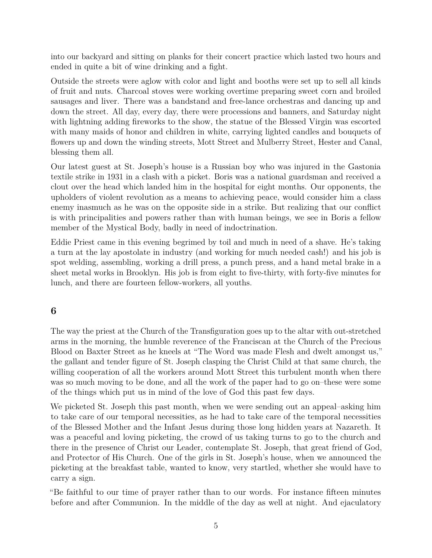into our backyard and sitting on planks for their concert practice which lasted two hours and ended in quite a bit of wine drinking and a fight.

Outside the streets were aglow with color and light and booths were set up to sell all kinds of fruit and nuts. Charcoal stoves were working overtime preparing sweet corn and broiled sausages and liver. There was a bandstand and free-lance orchestras and dancing up and down the street. All day, every day, there were processions and banners, and Saturday night with lightning adding fireworks to the show, the statue of the Blessed Virgin was escorted with many maids of honor and children in white, carrying lighted candles and bouquets of flowers up and down the winding streets, Mott Street and Mulberry Street, Hester and Canal, blessing them all.

Our latest guest at St. Joseph's house is a Russian boy who was injured in the Gastonia textile strike in 1931 in a clash with a picket. Boris was a national guardsman and received a clout over the head which landed him in the hospital for eight months. Our opponents, the upholders of violent revolution as a means to achieving peace, would consider him a class enemy inasmuch as he was on the opposite side in a strike. But realizing that our conflict is with principalities and powers rather than with human beings, we see in Boris a fellow member of the Mystical Body, badly in need of indoctrination.

Eddie Priest came in this evening begrimed by toil and much in need of a shave. He's taking a turn at the lay apostolate in industry (and working for much needed cash!) and his job is spot welding, assembling, working a drill press, a punch press, and a hand metal brake in a sheet metal works in Brooklyn. His job is from eight to five-thirty, with forty-five minutes for lunch, and there are fourteen fellow-workers, all youths.

## **6**

The way the priest at the Church of the Transfiguration goes up to the altar with out-stretched arms in the morning, the humble reverence of the Franciscan at the Church of the Precious Blood on Baxter Street as he kneels at "The Word was made Flesh and dwelt amongst us," the gallant and tender figure of St. Joseph clasping the Christ Child at that same church, the willing cooperation of all the workers around Mott Street this turbulent month when there was so much moving to be done, and all the work of the paper had to go on–these were some of the things which put us in mind of the love of God this past few days.

We picketed St. Joseph this past month, when we were sending out an appeal–asking him to take care of our temporal necessities, as he had to take care of the temporal necessities of the Blessed Mother and the Infant Jesus during those long hidden years at Nazareth. It was a peaceful and loving picketing, the crowd of us taking turns to go to the church and there in the presence of Christ our Leader, contemplate St. Joseph, that great friend of God, and Protector of His Church. One of the girls in St. Joseph's house, when we announced the picketing at the breakfast table, wanted to know, very startled, whether she would have to carry a sign.

"Be faithful to our time of prayer rather than to our words. For instance fifteen minutes before and after Communion. In the middle of the day as well at night. And ejaculatory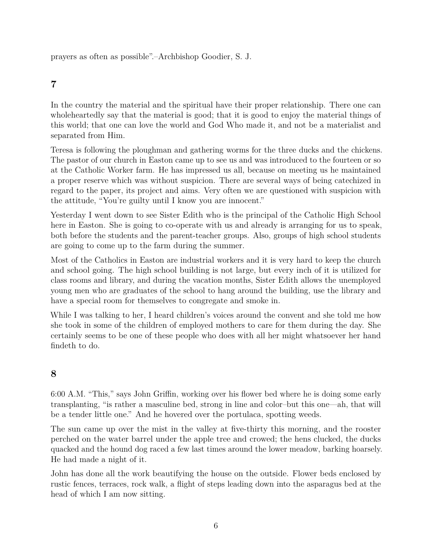prayers as often as possible".–Archbishop Goodier, S. J.

## **7**

In the country the material and the spiritual have their proper relationship. There one can wholeheartedly say that the material is good; that it is good to enjoy the material things of this world; that one can love the world and God Who made it, and not be a materialist and separated from Him.

Teresa is following the ploughman and gathering worms for the three ducks and the chickens. The pastor of our church in Easton came up to see us and was introduced to the fourteen or so at the Catholic Worker farm. He has impressed us all, because on meeting us he maintained a proper reserve which was without suspicion. There are several ways of being catechized in regard to the paper, its project and aims. Very often we are questioned with suspicion with the attitude, "You're guilty until I know you are innocent."

Yesterday I went down to see Sister Edith who is the principal of the Catholic High School here in Easton. She is going to co-operate with us and already is arranging for us to speak, both before the students and the parent-teacher groups. Also, groups of high school students are going to come up to the farm during the summer.

Most of the Catholics in Easton are industrial workers and it is very hard to keep the church and school going. The high school building is not large, but every inch of it is utilized for class rooms and library, and during the vacation months, Sister Edith allows the unemployed young men who are graduates of the school to hang around the building, use the library and have a special room for themselves to congregate and smoke in.

While I was talking to her, I heard children's voices around the convent and she told me how she took in some of the children of employed mothers to care for them during the day. She certainly seems to be one of these people who does with all her might whatsoever her hand findeth to do.

## **8**

6:00 A.M. "This," says John Griffin, working over his flower bed where he is doing some early transplanting, "is rather a masculine bed, strong in line and color–but this one—ah, that will be a tender little one." And he hovered over the portulaca, spotting weeds.

The sun came up over the mist in the valley at five-thirty this morning, and the rooster perched on the water barrel under the apple tree and crowed; the hens clucked, the ducks quacked and the hound dog raced a few last times around the lower meadow, barking hoarsely. He had made a night of it.

John has done all the work beautifying the house on the outside. Flower beds enclosed by rustic fences, terraces, rock walk, a flight of steps leading down into the asparagus bed at the head of which I am now sitting.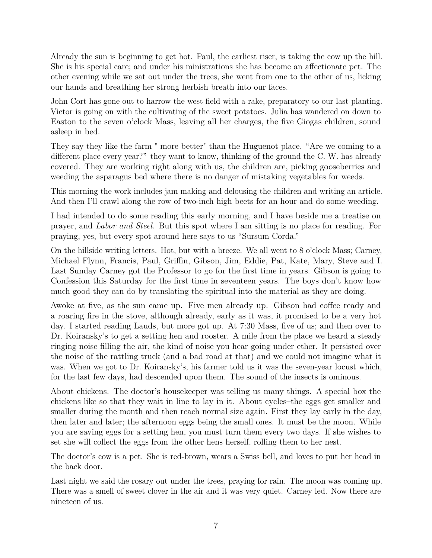Already the sun is beginning to get hot. Paul, the earliest riser, is taking the cow up the hill. She is his special care; and under his ministrations she has become an affectionate pet. The other evening while we sat out under the trees, she went from one to the other of us, licking our hands and breathing her strong herbish breath into our faces.

John Cort has gone out to harrow the west field with a rake, preparatory to our last planting. Victor is going on with the cultivating of the sweet potatoes. Julia has wandered on down to Easton to the seven o'clock Mass, leaving all her charges, the five Giogas children, sound asleep in bed.

They say they like the farm " more better" than the Huguenot place. "Are we coming to a different place every year?" they want to know, thinking of the ground the C. W. has already covered. They are working right along with us, the children are, picking gooseberries and weeding the asparagus bed where there is no danger of mistaking vegetables for weeds.

This morning the work includes jam making and delousing the children and writing an article. And then I'll crawl along the row of two-inch high beets for an hour and do some weeding.

I had intended to do some reading this early morning, and I have beside me a treatise on prayer, and *Labor and Steel.* But this spot where I am sitting is no place for reading. For praying, yes, but every spot around here says to us "Sursum Corda."

On the hillside writing letters. Hot, but with a breeze. We all went to 8 o'clock Mass; Carney, Michael Flynn, Francis, Paul, Griffin, Gibson, Jim, Eddie, Pat, Kate, Mary, Steve and I. Last Sunday Carney got the Professor to go for the first time in years. Gibson is going to Confession this Saturday for the first time in seventeen years. The boys don't know how much good they can do by translating the spiritual into the material as they are doing.

Awoke at five, as the sun came up. Five men already up. Gibson had coffee ready and a roaring fire in the stove, although already, early as it was, it promised to be a very hot day. I started reading Lauds, but more got up. At 7:30 Mass, five of us; and then over to Dr. Koiransky's to get a setting hen and rooster. A mile from the place we heard a steady ringing noise filling the air, the kind of noise you hear going under ether. It persisted over the noise of the rattling truck (and a bad road at that) and we could not imagine what it was. When we got to Dr. Koiransky's, his farmer told us it was the seven-year locust which, for the last few days, had descended upon them. The sound of the insects is ominous.

About chickens. The doctor's housekeeper was telling us many things. A special box the chickens like so that they wait in line to lay in it. About cycles–the eggs get smaller and smaller during the month and then reach normal size again. First they lay early in the day, then later and later; the afternoon eggs being the small ones. It must be the moon. While you are saving eggs for a setting hen, you must turn them every two days. If she wishes to set she will collect the eggs from the other hens herself, rolling them to her nest.

The doctor's cow is a pet. She is red-brown, wears a Swiss bell, and loves to put her head in the back door.

Last night we said the rosary out under the trees, praying for rain. The moon was coming up. There was a smell of sweet clover in the air and it was very quiet. Carney led. Now there are nineteen of us.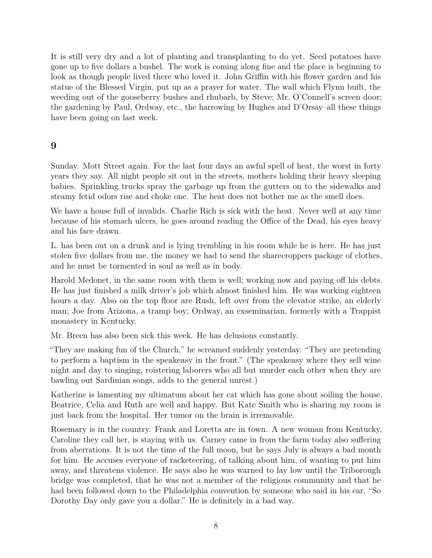It is still very dry and a lot of planting and transplanting to do yet. Seed potatoes have gone up to five dollars a bushel. The work is coming along fine and the place is beginning to look as though people lived there who loved it. John Griffin with his flower garden and his statue of the Blessed Virgin, put up as a prayer for water. The wall which Flynn built, the weeding out of the gooseberry bushes and rhubarb, by Steve; Mr. O'Connell's screen door; the gardening by Paul, Ordway, etc., the harrowing by Hughes and D'Orsay–all these things have been going on last week.

## **9**

Sunday. Mott Street again. For the last four days an awful spell of heat, the worst in forty years they say. All night people sit out in the streets, mothers holding their heavy sleeping babies. Sprinkling trucks spray the garbage up from the gutters on to the sidewalks and steamy fetid odors rise and choke one. The heat does not bother me as the smell does.

We have a house full of invalids. Charlie Rich is sick with the heat. Never well at any time because of his stomach ulcers, he goes around reading the Office of the Dead, his eyes heavy and his face drawn.

L. has been out on a drunk and is lying trembling in his room while he is here. He has just stolen five dollars from me, the money we had to send the sharecroppers package of clothes, and he must be tormented in soul as well as in body.

Harold Medonet, in the same room with them is well; working now and paying off his debts. He has just finished a milk driver's job which almost finished him. He was working eighteen hours a day. Also on the top floor are Rush, left over from the elevator strike, an elderly man; Joe from Arizona, a tramp boy; Ordway, an exseminarian, formerly with a Trappist monastery in Kentucky.

Mr. Breen has also been sick this week. He has delusions constantly.

"They are making fun of the Church," he screamed suddenly yesterday. "They are pretending to perform a baptism in the speakeasy in the front." (The speakeasy where they sell wine night and day to singing, roistering laborers who all but murder each other when they are bawling out Sardinian songs, adds to the general unrest.)

Katherine is lamenting my ultimatum about her cat which has gone about soiling the house. Beatrice, Celia and Ruth are well and happy. But Kate Smith who is sharing my room is just back from the hospital. Her tumor on the brain is irremovable.

Rosemary is in the country. Frank and Loretta are in town. A new woman from Kentucky, Caroline they call her, is staying with us. Carney came in from the farm today also suffering from aberrations. It is not the time of the full moon, but he says July is always a bad month for him. He accuses everyone of racketeering, of talking about him, of wanting to put him away, and threatens violence. He says also he was warned to lay low until the Triborough bridge was completed, that he was not a member of the religious community and that he had been followed down to the Philadelphia convention by someone who said in his ear, "So Dorothy Day only gave you a dollar." He is definitely in a bad way.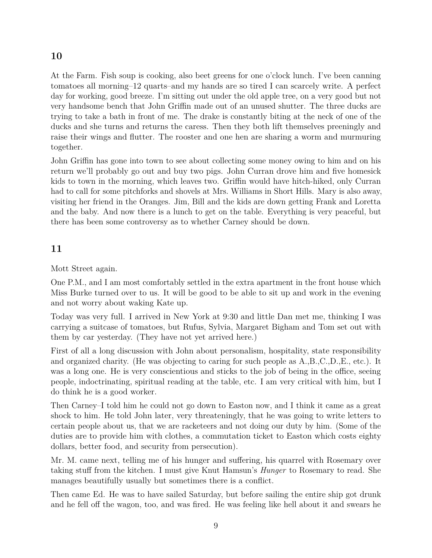#### **10**

At the Farm. Fish soup is cooking, also beet greens for one o'clock lunch. I've been canning tomatoes all morning–12 quarts–and my hands are so tired I can scarcely write. A perfect day for working, good breeze. I'm sitting out under the old apple tree, on a very good but not very handsome bench that John Griffin made out of an unused shutter. The three ducks are trying to take a bath in front of me. The drake is constantly biting at the neck of one of the ducks and she turns and returns the caress. Then they both lift themselves preeningly and raise their wings and flutter. The rooster and one hen are sharing a worm and murmuring together.

John Griffin has gone into town to see about collecting some money owing to him and on his return we'll probably go out and buy two pigs. John Curran drove him and five homesick kids to town in the morning, which leaves two. Griffin would have hitch-hiked, only Curran had to call for some pitchforks and shovels at Mrs. Williams in Short Hills. Mary is also away, visiting her friend in the Oranges. Jim, Bill and the kids are down getting Frank and Loretta and the baby. And now there is a lunch to get on the table. Everything is very peaceful, but there has been some controversy as to whether Carney should be down.

## **11**

Mott Street again.

One P.M., and I am most comfortably settled in the extra apartment in the front house which Miss Burke turned over to us. It will be good to be able to sit up and work in the evening and not worry about waking Kate up.

Today was very full. I arrived in New York at 9:30 and little Dan met me, thinking I was carrying a suitcase of tomatoes, but Rufus, Sylvia, Margaret Bigham and Tom set out with them by car yesterday. (They have not yet arrived here.)

First of all a long discussion with John about personalism, hospitality, state responsibility and organized charity. (He was objecting to caring for such people as A.,B.,C.,D.,E., etc.). It was a long one. He is very conscientious and sticks to the job of being in the office, seeing people, indoctrinating, spiritual reading at the table, etc. I am very critical with him, but I do think he is a good worker.

Then Carney–I told him he could not go down to Easton now, and I think it came as a great shock to him. He told John later, very threateningly, that he was going to write letters to certain people about us, that we are racketeers and not doing our duty by him. (Some of the duties are to provide him with clothes, a commutation ticket to Easton which costs eighty dollars, better food, and security from persecution).

Mr. M. came next, telling me of his hunger and suffering, his quarrel with Rosemary over taking stuff from the kitchen. I must give Knut Hamsun's *Hunger* to Rosemary to read. She manages beautifully usually but sometimes there is a conflict.

Then came Ed. He was to have sailed Saturday, but before sailing the entire ship got drunk and he fell off the wagon, too, and was fired. He was feeling like hell about it and swears he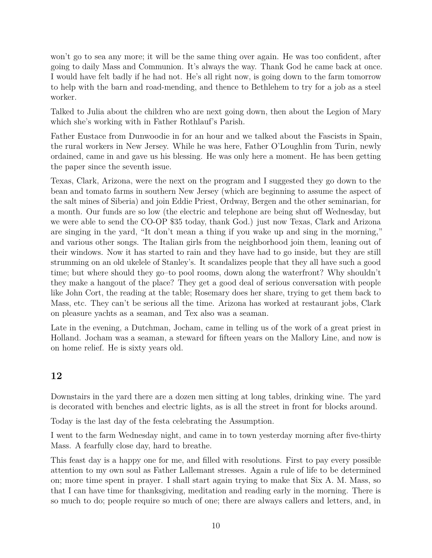won't go to sea any more; it will be the same thing over again. He was too confident, after going to daily Mass and Communion. It's always the way. Thank God he came back at once. I would have felt badly if he had not. He's all right now, is going down to the farm tomorrow to help with the barn and road-mending, and thence to Bethlehem to try for a job as a steel worker.

Talked to Julia about the children who are next going down, then about the Legion of Mary which she's working with in Father Rothlauf's Parish.

Father Eustace from Dunwoodie in for an hour and we talked about the Fascists in Spain, the rural workers in New Jersey. While he was here, Father O'Loughlin from Turin, newly ordained, came in and gave us his blessing. He was only here a moment. He has been getting the paper since the seventh issue.

Texas, Clark, Arizona, were the next on the program and I suggested they go down to the bean and tomato farms in southern New Jersey (which are beginning to assume the aspect of the salt mines of Siberia) and join Eddie Priest, Ordway, Bergen and the other seminarian, for a month. Our funds are so low (the electric and telephone are being shut off Wednesday, but we were able to send the CO-OP \$35 today, thank God.) just now Texas, Clark and Arizona are singing in the yard, "It don't mean a thing if you wake up and sing in the morning," and various other songs. The Italian girls from the neighborhood join them, leaning out of their windows. Now it has started to rain and they have had to go inside, but they are still strumming on an old ukelele of Stanley's. It scandalizes people that they all have such a good time; but where should they go–to pool rooms, down along the waterfront? Why shouldn't they make a hangout of the place? They get a good deal of serious conversation with people like John Cort, the reading at the table; Rosemary does her share, trying to get them back to Mass, etc. They can't be serious all the time. Arizona has worked at restaurant jobs, Clark on pleasure yachts as a seaman, and Tex also was a seaman.

Late in the evening, a Dutchman, Jocham, came in telling us of the work of a great priest in Holland. Jocham was a seaman, a steward for fifteen years on the Mallory Line, and now is on home relief. He is sixty years old.

# **12**

Downstairs in the yard there are a dozen men sitting at long tables, drinking wine. The yard is decorated with benches and electric lights, as is all the street in front for blocks around.

Today is the last day of the festa celebrating the Assumption.

I went to the farm Wednesday night, and came in to town yesterday morning after five-thirty Mass. A fearfully close day, hard to breathe.

This feast day is a happy one for me, and filled with resolutions. First to pay every possible attention to my own soul as Father Lallemant stresses. Again a rule of life to be determined on; more time spent in prayer. I shall start again trying to make that Six A. M. Mass, so that I can have time for thanksgiving, meditation and reading early in the morning. There is so much to do; people require so much of one; there are always callers and letters, and, in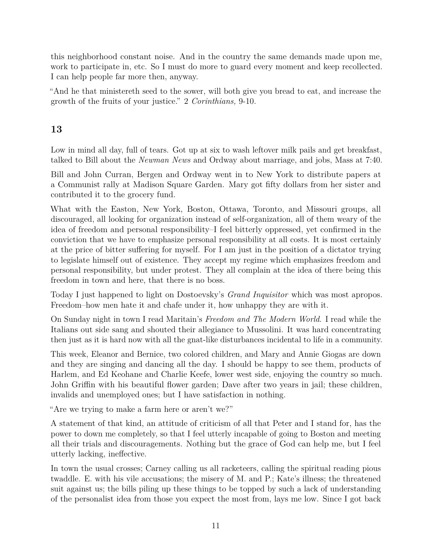this neighborhood constant noise. And in the country the same demands made upon me, work to participate in, etc. So I must do more to guard every moment and keep recollected. I can help people far more then, anyway.

"And he that ministereth seed to the sower, will both give you bread to eat, and increase the growth of the fruits of your justice." 2 *Corinthians,* 9-10.

## **13**

Low in mind all day, full of tears. Got up at six to wash leftover milk pails and get breakfast, talked to Bill about the *Newman News* and Ordway about marriage, and jobs, Mass at 7:40.

Bill and John Curran, Bergen and Ordway went in to New York to distribute papers at a Communist rally at Madison Square Garden. Mary got fifty dollars from her sister and contributed it to the grocery fund.

What with the Easton, New York, Boston, Ottawa, Toronto, and Missouri groups, all discouraged, all looking for organization instead of self-organization, all of them weary of the idea of freedom and personal responsibility–I feel bitterly oppressed, yet confirmed in the conviction that we have to emphasize personal responsibility at all costs. It is most certainly at the price of bitter suffering for myself. For I am just in the position of a dictator trying to legislate himself out of existence. They accept my regime which emphasizes freedom and personal responsibility, but under protest. They all complain at the idea of there being this freedom in town and here, that there is no boss.

Today I just happened to light on Dostoevsky's *Grand Inquisitor* which was most apropos. Freedom–how men hate it and chafe under it, how unhappy they are with it.

On Sunday night in town I read Maritain's *Freedom and The Modern World*. I read while the Italians out side sang and shouted their allegiance to Mussolini. It was hard concentrating then just as it is hard now with all the gnat-like disturbances incidental to life in a community.

This week, Eleanor and Bernice, two colored children, and Mary and Annie Giogas are down and they are singing and dancing all the day. I should be happy to see them, products of Harlem, and Ed Keohane and Charlie Keefe, lower west side, enjoying the country so much. John Griffin with his beautiful flower garden; Dave after two years in jail; these children, invalids and unemployed ones; but I have satisfaction in nothing.

"Are we trying to make a farm here or aren't we?"

A statement of that kind, an attitude of criticism of all that Peter and I stand for, has the power to down me completely, so that I feel utterly incapable of going to Boston and meeting all their trials and discouragements. Nothing but the grace of God can help me, but I feel utterly lacking, ineffective.

In town the usual crosses; Carney calling us all racketeers, calling the spiritual reading pious twaddle. E. with his vile accusations; the misery of M. and P.; Kate's illness; the threatened suit against us; the bills piling up these things to be topped by such a lack of understanding of the personalist idea from those you expect the most from, lays me low. Since I got back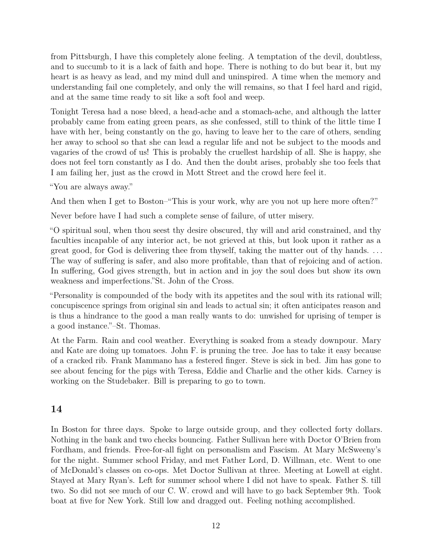from Pittsburgh, I have this completely alone feeling. A temptation of the devil, doubtless, and to succumb to it is a lack of faith and hope. There is nothing to do but bear it, but my heart is as heavy as lead, and my mind dull and uninspired. A time when the memory and understanding fail one completely, and only the will remains, so that I feel hard and rigid, and at the same time ready to sit like a soft fool and weep.

Tonight Teresa had a nose bleed, a head-ache and a stomach-ache, and although the latter probably came from eating green pears, as she confessed, still to think of the little time I have with her, being constantly on the go, having to leave her to the care of others, sending her away to school so that she can lead a regular life and not be subject to the moods and vagaries of the crowd of us! This is probably the cruellest hardship of all. She is happy, she does not feel torn constantly as I do. And then the doubt arises, probably she too feels that I am failing her, just as the crowd in Mott Street and the crowd here feel it.

"You are always away."

And then when I get to Boston–"This is your work, why are you not up here more often?"

Never before have I had such a complete sense of failure, of utter misery.

"O spiritual soul, when thou seest thy desire obscured, thy will and arid constrained, and thy faculties incapable of any interior act, be not grieved at this, but look upon it rather as a great good, for God is delivering thee from thyself, taking the matter out of thy hands. . . . The way of suffering is safer, and also more profitable, than that of rejoicing and of action. In suffering, God gives strength, but in action and in joy the soul does but show its own weakness and imperfections."St. John of the Cross.

"Personality is compounded of the body with its appetites and the soul with its rational will; concupiscence springs from original sin and leads to actual sin; it often anticipates reason and is thus a hindrance to the good a man really wants to do: unwished for uprising of temper is a good instance."–St. Thomas.

At the Farm. Rain and cool weather. Everything is soaked from a steady downpour. Mary and Kate are doing up tomatoes. John F. is pruning the tree. Joe has to take it easy because of a cracked rib. Frank Mammano has a festered finger. Steve is sick in bed. Jim has gone to see about fencing for the pigs with Teresa, Eddie and Charlie and the other kids. Carney is working on the Studebaker. Bill is preparing to go to town.

#### **14**

In Boston for three days. Spoke to large outside group, and they collected forty dollars. Nothing in the bank and two checks bouncing. Father Sullivan here with Doctor O'Brien from Fordham, and friends. Free-for-all fight on personalism and Fascism. At Mary McSweeny's for the night. Summer school Friday, and met Father Lord, D. Willman, etc. Went to one of McDonald's classes on co-ops. Met Doctor Sullivan at three. Meeting at Lowell at eight. Stayed at Mary Ryan's. Left for summer school where I did not have to speak. Father S. till two. So did not see much of our C. W. crowd and will have to go back September 9th. Took boat at five for New York. Still low and dragged out. Feeling nothing accomplished.